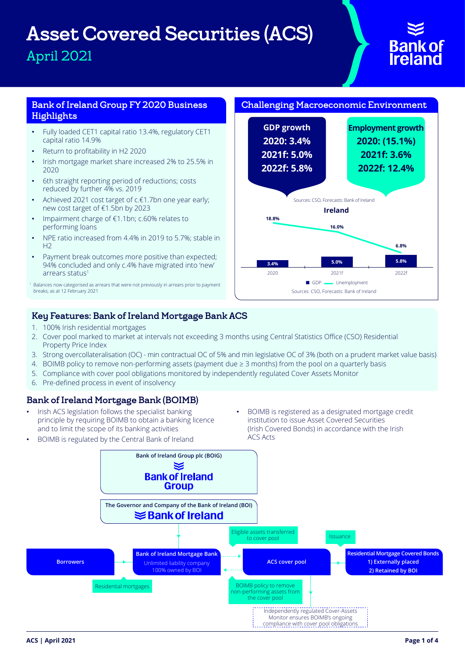# Asset Covered Securities (ACS) April 2021

# **Bank of**<br>**Ireland**

# Bank of Ireland Group FY 2020 Business Highlights

- Fully loaded CET1 capital ratio 13.4%, regulatory CET1 capital ratio 14.9%
- Return to profitability in H2 2020
- Irish mortgage market share increased 2% to 25.5% in 2020
- 6th straight reporting period of reductions; costs reduced by further 4% vs. 2019
- Achieved 2021 cost target of c.€1.7bn one year early; new cost target of €1.5bn by 2023
- Impairment charge of €1.1bn; c.60% relates to performing loans
- NPE ratio increased from 4.4% in 2019 to 5.7%; stable in  $H<sub>2</sub>$
- Payment break outcomes more positive than expected; 94% concluded and only c.4% have migrated into 'new' arrears status<sup>1</sup>

# Challenging Macroeconomic Environment



# Key Features: Bank of Ireland Mortgage Bank ACS

- 1. 100% Irish residential mortgages
- 2. Cover pool marked to market at intervals not exceeding 3 months using Central Statistics Office (CSO) Residential Property Price Index
- 3. Strong overcollateralisation (OC) min contractual OC of 5% and min legislative OC of 3% (both on a prudent market value basis)
- 4. BOIMB policy to remove non-performing assets (payment due  $\geq$  3 months) from the pool on a quarterly basis
- 5. Compliance with cover pool obligations monitored by independently regulated Cover Assets Monitor
- 6. Pre-defined process in event of insolvency

# Bank of Ireland Mortgage Bank (BOIMB)

- Irish ACS legislation follows the specialist banking principle by requiring BOIMB to obtain a banking licence and to limit the scope of its banking activities
- BOIMB is registered as a designated mortgage credit institution to issue Asset Covered Securities (Irish Covered Bonds) in accordance with the Irish ACS Acts



<sup>1</sup> Balances now categorised as arrears that were not previously in arrears prior to payment breaks; as at 12 February 2021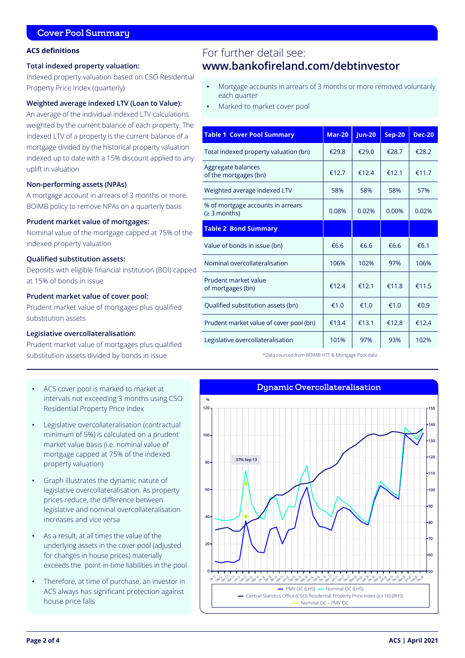# Cover Pool Summary

### **ACS definitions**

### **Total indexed property valuation:**

Indexed property valuation based on CSO Residential Property Price Index (quarterly)

# **Weighted average indexed LTV (Loan to Value):**

An average of the individual indexed LTV calculations weighted by the current balance of each property. The indexed LTV of a property is the current balance of a mortgage divided by the historical property valuation indexed up to date with a 15% discount applied to any uplift in valuation

### **Non-performing assets (NPAs)**

A mortgage account in arrears of 3 months or more. BOIMB policy to remove NPAs on a quarterly basis

### **Prudent market value of mortgages:**

Nominal value of the mortgage capped at 75% of the indexed property valuation

### **Qualified substitution assets:**

Deposits with eligible financial institution (BOI) capped at 15% of bonds in issue

## **Prudent market value of cover pool:**

Prudent market value of mortgages plus qualified substitution assets

### **Legislative overcollateralisation:**

Prudent market value of mortgages plus qualified substitution assets divided by bonds in issue

- ACS cover pool is marked to market at intervals not exceeding 3 months using CSO Residential Property Price Index
- Legislative overcollateralisation (contractual minimum of 5%) is calculated on a prudent market value basis (i.e. nominal value of mortgage capped at 75% of the indexed property valuation)
- Graph illustrates the dynamic nature of legislative overcollateralisation. As property prices reduce, the difference between legislative and nominal overcollateralisation increases and vice versa
- As a result, at all times the value of the underlying assets in the cover pool (adjusted for changes in house prices) materially exceeds the point-in-time liabilities in the pool
- Therefore, at time of purchase, an investor in ACS always has significant protection against house price falls

# For further detail see: **www.bankofireland.com/debtinvestor**

- Mortgage accounts in arrears of 3 months or more removed voluntarily each quarter
- Marked to market cover pool

| <b>Table 1 Cover Pool Summary</b>                 | <b>Mar-20</b> | <b>Jun-20</b> | <b>Sep-20</b> | <b>Dec-20</b> |
|---------------------------------------------------|---------------|---------------|---------------|---------------|
| Total indexed property valuation (bn)             | €29.8         | €29.0         | £28.7         | €28.2         |
| Aggregate balances<br>of the mortgages (bn)       | €12.7         | €12.4         | €12.1         | €11.7         |
| Weighted average indexed LTV                      | 58%           | 58%           | 58%           | 57%           |
| % of mortgage accounts in arrears<br>(≥ 3 months) | 0.08%         | 0.02%         | 0.00%         | 0.02%         |
| <b>Table 2 Bond Summary</b>                       |               |               |               |               |
| Value of bonds in issue (bn)                      | £6.6          | £6.6          | £6.6          | €6.1          |
| Nominal overcollateralisation                     | 106%          | 102%          | 97%           | 106%          |
| Prudent market value<br>of mortgages (bn)         | €12.4         | €12.1         | €11.8         | €11.5         |
| Qualified substitution assets (bn)                | €1.0          | €1.0          | €1.0          | €0.9          |
| Prudent market value of cover pool (bn)           | €13.4         | €13.1         | €12.8         | €12.4         |
| Legislative overcollateralisation                 | 101%          | 97%           | 93%           | 102%          |

\*Data sourced from BOIMB HTT & Mortgage Pool data

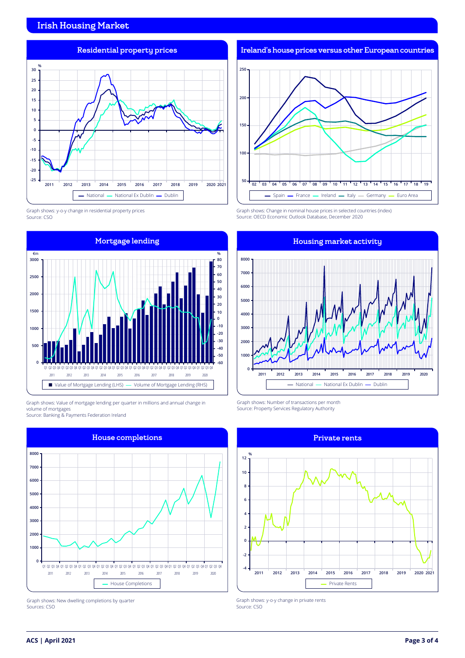# Irish Housing Market



Graph shows: y-o-y change in residential property prices Source: CSO



Graph shows: Value of mortgage lending per quarter in millions and annual change in volume of mortgages

Source: Banking & Payments Federation Ireland



Graph shows: New dwelling completions by quarter Sources: CSO

Ireland's house prices versus other European countries



Graph shows: Change in nominal house prices in selected countries (index) Source: OECD Economic Outlook Database, December 2020



Graph shows: Number of transactions per month Source: Property Services Regulatory Authority



Graph shows: y-o-y change in private rents Source: CSO